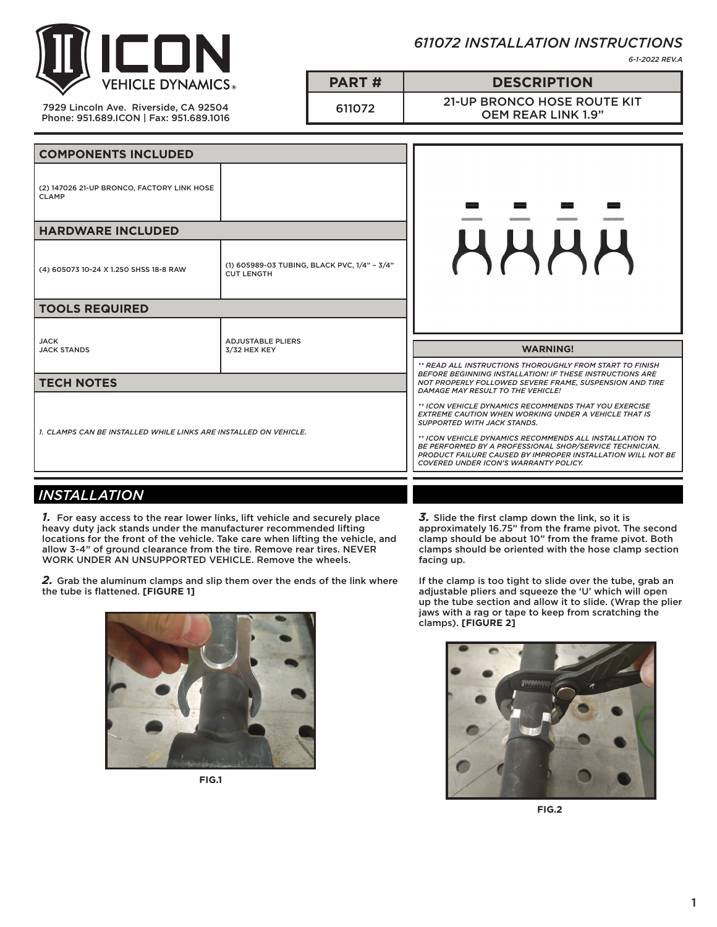

*611072 INSTALLATION INSTRUCTIONS*

*6-1-2022 REV.A*

7929 Lincoln Ave. Riverside, CA 92504 Phone: 951.689.ICON | Fax: 951.689.1016 **PART # DESCRIPTION** 611072 21-UP BRONCO HOSE ROUTE KIT OEM REAR LINK 1.9"

**COMPONENTS INCLUDED** (2) 147026 21-UP BRONCO, FACTORY LINK HOSE CLAMP **HARDWARE INCLUDED HHHH** (4) 605073 10-24 X 1.250 SHSS 18-8 RAW (1) 605989-03 TUBING, BLACK PVC, 1/4" – 3/4" CUT LENGTH **TOOLS REQUIRED** JACK ADJUSTABLE PLIERS JACK STANDS **WARNING!** 3/32 HEX KEY *\*\* READ ALL INSTRUCTIONS THOROUGHLY FROM START TO FINISH BEFORE BEGINNING INSTALLATION! IF THESE INSTRUCTIONS ARE*  **TECH NOTES** *NOT PROPERLY FOLLOWED SEVERE FRAME, SUSPENSION AND TIRE DAMAGE MAY RESULT TO THE VEHICLE! \*\* ICON VEHICLE DYNAMICS RECOMMENDS THAT YOU EXERCISE EXTREME CAUTION WHEN WORKING UNDER A VEHICLE THAT IS SUPPORTED WITH JACK STANDS. 1. CLAMPS CAN BE INSTALLED WHILE LINKS ARE INSTALLED ON VEHICLE. \*\* ICON VEHICLE DYNAMICS RECOMMENDS ALL INSTALLATION TO BE PERFORMED BY A PROFESSIONAL SHOP/SERVICE TECHNICIAN. PRODUCT FAILURE CAUSED BY IMPROPER INSTALLATION WILL NOT BE COVERED UNDER ICON'S WARRANTY POLICY.*

## *INSTALLATION*

*1.* For easy access to the rear lower links, lift vehicle and securely place heavy duty jack stands under the manufacturer recommended lifting locations for the front of the vehicle. Take care when lifting the vehicle, and allow 3-4" of ground clearance from the tire. Remove rear tires. NEVER WORK UNDER AN UNSUPPORTED VEHICLE. Remove the wheels.

*2.* Grab the aluminum clamps and slip them over the ends of the link where the tube is flattened. **[FIGURE 1]**



**FIG.1**

*3.* Slide the first clamp down the link, so it is approximately 16.75" from the frame pivot. The second clamp should be about 10" from the frame pivot. Both clamps should be oriented with the hose clamp section facing up.

If the clamp is too tight to slide over the tube, grab an adjustable pliers and squeeze the 'U' which will open up the tube section and allow it to slide. (Wrap the plier jaws with a rag or tape to keep from scratching the clamps). **[FIGURE 2]**



**FIG.2**